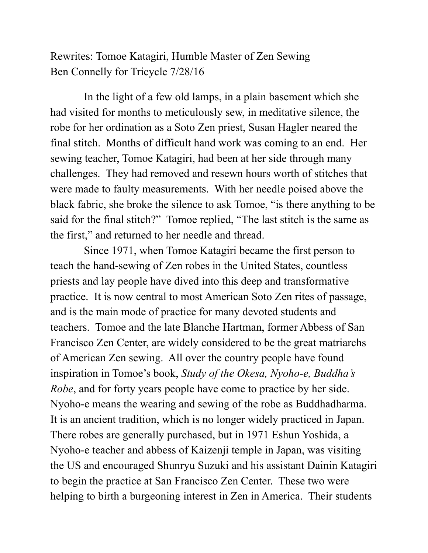Rewrites: Tomoe Katagiri, Humble Master of Zen Sewing Ben Connelly for Tricycle 7/28/16

In the light of a few old lamps, in a plain basement which she had visited for months to meticulously sew, in meditative silence, the robe for her ordination as a Soto Zen priest, Susan Hagler neared the final stitch. Months of difficult hand work was coming to an end. Her sewing teacher, Tomoe Katagiri, had been at her side through many challenges. They had removed and resewn hours worth of stitches that were made to faulty measurements. With her needle poised above the black fabric, she broke the silence to ask Tomoe, "is there anything to be said for the final stitch?" Tomoe replied, "The last stitch is the same as the first," and returned to her needle and thread.

Since 1971, when Tomoe Katagiri became the first person to teach the hand-sewing of Zen robes in the United States, countless priests and lay people have dived into this deep and transformative practice. It is now central to most American Soto Zen rites of passage, and is the main mode of practice for many devoted students and teachers. Tomoe and the late Blanche Hartman, former Abbess of San Francisco Zen Center, are widely considered to be the great matriarchs of American Zen sewing. All over the country people have found inspiration in Tomoe's book, *Study of the Okesa, Nyoho-e, Buddha's Robe*, and for forty years people have come to practice by her side. Nyoho-e means the wearing and sewing of the robe as Buddhadharma. It is an ancient tradition, which is no longer widely practiced in Japan. There robes are generally purchased, but in 1971 Eshun Yoshida, a Nyoho-e teacher and abbess of Kaizenji temple in Japan, was visiting the US and encouraged Shunryu Suzuki and his assistant Dainin Katagiri to begin the practice at San Francisco Zen Center. These two were helping to birth a burgeoning interest in Zen in America. Their students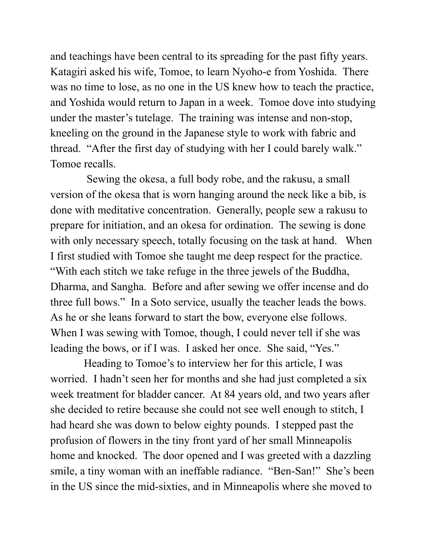and teachings have been central to its spreading for the past fifty years. Katagiri asked his wife, Tomoe, to learn Nyoho-e from Yoshida. There was no time to lose, as no one in the US knew how to teach the practice, and Yoshida would return to Japan in a week. Tomoe dove into studying under the master's tutelage. The training was intense and non-stop, kneeling on the ground in the Japanese style to work with fabric and thread. "After the first day of studying with her I could barely walk." Tomoe recalls.

 Sewing the okesa, a full body robe, and the rakusu, a small version of the okesa that is worn hanging around the neck like a bib, is done with meditative concentration. Generally, people sew a rakusu to prepare for initiation, and an okesa for ordination. The sewing is done with only necessary speech, totally focusing on the task at hand. When I first studied with Tomoe she taught me deep respect for the practice. "With each stitch we take refuge in the three jewels of the Buddha, Dharma, and Sangha. Before and after sewing we offer incense and do three full bows." In a Soto service, usually the teacher leads the bows. As he or she leans forward to start the bow, everyone else follows. When I was sewing with Tomoe, though, I could never tell if she was leading the bows, or if I was. I asked her once. She said, "Yes."

Heading to Tomoe's to interview her for this article, I was worried. I hadn't seen her for months and she had just completed a six week treatment for bladder cancer. At 84 years old, and two years after she decided to retire because she could not see well enough to stitch, I had heard she was down to below eighty pounds. I stepped past the profusion of flowers in the tiny front yard of her small Minneapolis home and knocked. The door opened and I was greeted with a dazzling smile, a tiny woman with an ineffable radiance. "Ben-San!" She's been in the US since the mid-sixties, and in Minneapolis where she moved to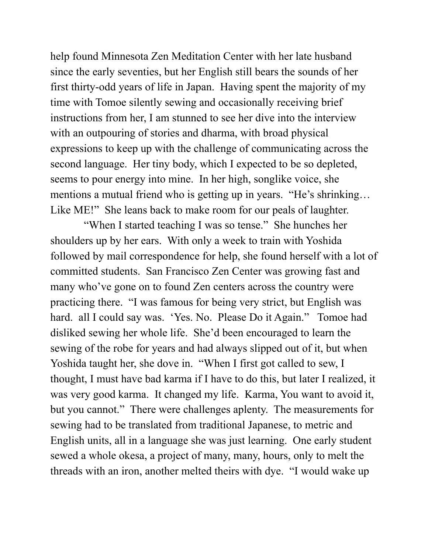help found Minnesota Zen Meditation Center with her late husband since the early seventies, but her English still bears the sounds of her first thirty-odd years of life in Japan. Having spent the majority of my time with Tomoe silently sewing and occasionally receiving brief instructions from her, I am stunned to see her dive into the interview with an outpouring of stories and dharma, with broad physical expressions to keep up with the challenge of communicating across the second language. Her tiny body, which I expected to be so depleted, seems to pour energy into mine. In her high, songlike voice, she mentions a mutual friend who is getting up in years. "He's shrinking… Like ME!" She leans back to make room for our peals of laughter.

"When I started teaching I was so tense." She hunches her shoulders up by her ears. With only a week to train with Yoshida followed by mail correspondence for help, she found herself with a lot of committed students. San Francisco Zen Center was growing fast and many who've gone on to found Zen centers across the country were practicing there. "I was famous for being very strict, but English was hard. all I could say was. 'Yes. No. Please Do it Again." Tomoe had disliked sewing her whole life. She'd been encouraged to learn the sewing of the robe for years and had always slipped out of it, but when Yoshida taught her, she dove in. "When I first got called to sew, I thought, I must have bad karma if I have to do this, but later I realized, it was very good karma. It changed my life. Karma, You want to avoid it, but you cannot." There were challenges aplenty. The measurements for sewing had to be translated from traditional Japanese, to metric and English units, all in a language she was just learning. One early student sewed a whole okesa, a project of many, many, hours, only to melt the threads with an iron, another melted theirs with dye. "I would wake up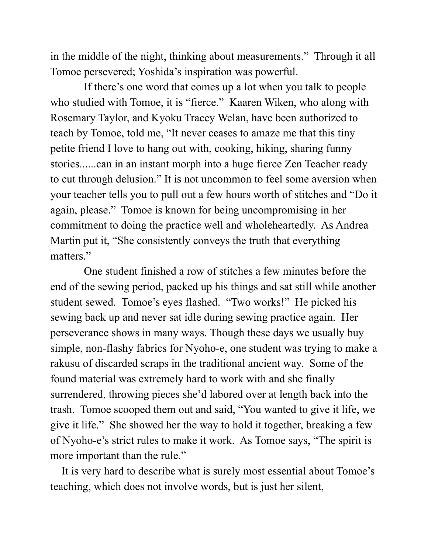in the middle of the night, thinking about measurements." Through it all Tomoe persevered; Yoshida's inspiration was powerful.

If there's one word that comes up a lot when you talk to people who studied with Tomoe, it is "fierce." Kaaren Wiken, who along with Rosemary Taylor, and Kyoku Tracey Welan, have been authorized to teach by Tomoe, told me, "It never ceases to amaze me that this tiny petite friend I love to hang out with, cooking, hiking, sharing funny stories......can in an instant morph into a huge fierce Zen Teacher ready to cut through delusion." It is not uncommon to feel some aversion when your teacher tells you to pull out a few hours worth of stitches and "Do it again, please." Tomoe is known for being uncompromising in her commitment to doing the practice well and wholeheartedly. As Andrea Martin put it, "She consistently conveys the truth that everything matters."

One student finished a row of stitches a few minutes before the end of the sewing period, packed up his things and sat still while another student sewed. Tomoe's eyes flashed. "Two works!" He picked his sewing back up and never sat idle during sewing practice again. Her perseverance shows in many ways. Though these days we usually buy simple, non-flashy fabrics for Nyoho-e, one student was trying to make a rakusu of discarded scraps in the traditional ancient way. Some of the found material was extremely hard to work with and she finally surrendered, throwing pieces she'd labored over at length back into the trash. Tomoe scooped them out and said, "You wanted to give it life, we give it life." She showed her the way to hold it together, breaking a few of Nyoho-e's strict rules to make it work. As Tomoe says, "The spirit is more important than the rule."

 It is very hard to describe what is surely most essential about Tomoe's teaching, which does not involve words, but is just her silent,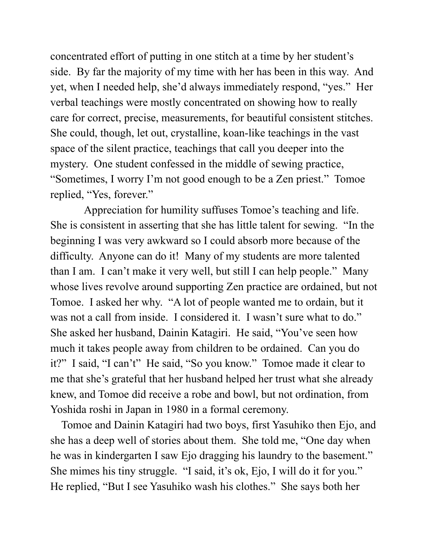concentrated effort of putting in one stitch at a time by her student's side. By far the majority of my time with her has been in this way. And yet, when I needed help, she'd always immediately respond, "yes." Her verbal teachings were mostly concentrated on showing how to really care for correct, precise, measurements, for beautiful consistent stitches. She could, though, let out, crystalline, koan-like teachings in the vast space of the silent practice, teachings that call you deeper into the mystery. One student confessed in the middle of sewing practice, "Sometimes, I worry I'm not good enough to be a Zen priest." Tomoe replied, "Yes, forever."

Appreciation for humility suffuses Tomoe's teaching and life. She is consistent in asserting that she has little talent for sewing. "In the beginning I was very awkward so I could absorb more because of the difficulty. Anyone can do it! Many of my students are more talented than I am. I can't make it very well, but still I can help people." Many whose lives revolve around supporting Zen practice are ordained, but not Tomoe. I asked her why. "A lot of people wanted me to ordain, but it was not a call from inside. I considered it. I wasn't sure what to do." She asked her husband, Dainin Katagiri. He said, "You've seen how much it takes people away from children to be ordained. Can you do it?" I said, "I can't" He said, "So you know." Tomoe made it clear to me that she's grateful that her husband helped her trust what she already knew, and Tomoe did receive a robe and bowl, but not ordination, from Yoshida roshi in Japan in 1980 in a formal ceremony.

 Tomoe and Dainin Katagiri had two boys, first Yasuhiko then Ejo, and she has a deep well of stories about them. She told me, "One day when he was in kindergarten I saw Ejo dragging his laundry to the basement." She mimes his tiny struggle. "I said, it's ok, Ejo, I will do it for you." He replied, "But I see Yasuhiko wash his clothes." She says both her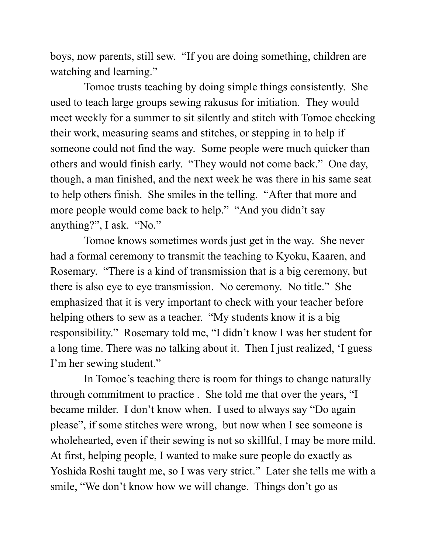boys, now parents, still sew. "If you are doing something, children are watching and learning."

Tomoe trusts teaching by doing simple things consistently. She used to teach large groups sewing rakusus for initiation. They would meet weekly for a summer to sit silently and stitch with Tomoe checking their work, measuring seams and stitches, or stepping in to help if someone could not find the way. Some people were much quicker than others and would finish early. "They would not come back." One day, though, a man finished, and the next week he was there in his same seat to help others finish. She smiles in the telling. "After that more and more people would come back to help." "And you didn't say anything?", I ask. "No."

Tomoe knows sometimes words just get in the way. She never had a formal ceremony to transmit the teaching to Kyoku, Kaaren, and Rosemary. "There is a kind of transmission that is a big ceremony, but there is also eye to eye transmission. No ceremony. No title." She emphasized that it is very important to check with your teacher before helping others to sew as a teacher. "My students know it is a big responsibility." Rosemary told me, "I didn't know I was her student for a long time. There was no talking about it. Then I just realized, 'I guess I'm her sewing student."

In Tomoe's teaching there is room for things to change naturally through commitment to practice . She told me that over the years, "I became milder. I don't know when. I used to always say "Do again please", if some stitches were wrong, but now when I see someone is wholehearted, even if their sewing is not so skillful, I may be more mild. At first, helping people, I wanted to make sure people do exactly as Yoshida Roshi taught me, so I was very strict." Later she tells me with a smile, "We don't know how we will change. Things don't go as